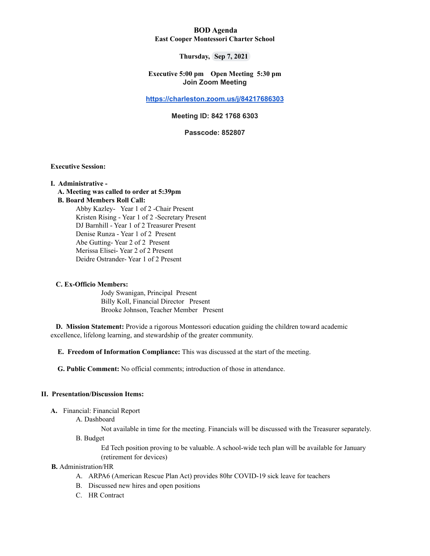## **BOD Agenda East Cooper Montessori Charter School**

## **Thursday, Sep 7, 2021**

## **Executive 5:00 pm Open Meeting 5:30 pm Join Zoom Meeting**

### **[https://charleston.zoom.us/j/84217686303](https://urldefense.com/v3/__https:/www.google.com/url?q=https*3A*2F*2Fcharleston.zoom.us*2Fj*2F84217686303&sa=D&source=calendar&usd=2&usg=AOvVaw3qumHIrhDkrYzi43O8nNdv__;JSUlJSU!!Ab1_Rw!TLNsp__h16LQkK0YYA0aoUL1_pt2C69nwEMbHMCqgPQ1P1K8IL110P68fhpKrCg9$)**

# **Meeting ID: 842 1768 6303**

#### **Passcode: 852807**

### **Executive Session:**

#### **I. Administrative -**

## **A. Meeting was called to order at 5:39pm**

## **B. Board Members Roll Call:**

Abby Kazley- Year 1 of 2 -Chair Present Kristen Rising - Year 1 of 2 -Secretary Present DJ Barnhill - Year 1 of 2 Treasurer Present Denise Runza - Year 1 of 2 Present Abe Gutting- Year 2 of 2 Present Merissa Elisei- Year 2 of 2 Present Deidre Ostrander- Year 1 of 2 Present

#### **C. Ex-Officio Members:**

Jody Swanigan, Principal Present Billy Koll, Financial Director Present Brooke Johnson, Teacher Member Present

**D. Mission Statement:** Provide a rigorous Montessori education guiding the children toward academic excellence, lifelong learning, and stewardship of the greater community.

**E. Freedom of Information Compliance:** This was discussed at the start of the meeting.

**G. Public Comment:** No official comments; introduction of those in attendance.

# **II. Presentation/Discussion Items:**

- **A.** Financial: Financial Report
	- A. Dashboard

Not available in time for the meeting. Financials will be discussed with the Treasurer separately.

B. Budget

Ed Tech position proving to be valuable. A school-wide tech plan will be available for January (retirement for devices)

# **B.** Administration/HR

- A. ARPA6 (American Rescue Plan Act) provides 80hr COVID-19 sick leave for teachers
- B. Discussed new hires and open positions
- C. HR Contract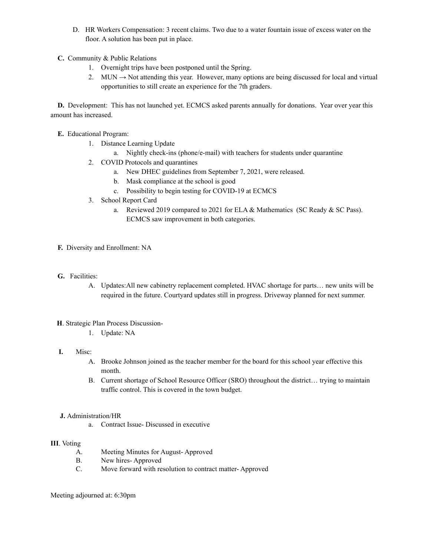- D. HR Workers Compensation: 3 recent claims. Two due to a water fountain issue of excess water on the floor. A solution has been put in place.
- **C.** Community & Public Relations
	- 1. Overnight trips have been postponed until the Spring.
	- 2. MUN  $\rightarrow$  Not attending this year. However, many options are being discussed for local and virtual opportunities to still create an experience for the 7th graders.

**D.** Development: This has not launched yet. ECMCS asked parents annually for donations. Year over year this amount has increased.

**E.** Educational Program:

- 1. Distance Learning Update
	- a. Nightly check-ins (phone/e-mail) with teachers for students under quarantine
- 2. COVID Protocols and quarantines
	- a. New DHEC guidelines from September 7, 2021, were released.
	- b. Mask compliance at the school is good
	- c. Possibility to begin testing for COVID-19 at ECMCS
- 3. School Report Card
	- a. Reviewed 2019 compared to 2021 for ELA & Mathematics (SC Ready & SC Pass). ECMCS saw improvement in both categories.
- **F.** Diversity and Enrollment: NA
- **G.** Facilities:
	- A. Updates:All new cabinetry replacement completed. HVAC shortage for parts… new units will be required in the future. Courtyard updates still in progress. Driveway planned for next summer.
- **H**. Strategic Plan Process Discussion-
	- 1. Update: NA
- **I.** Misc:
	- A. Brooke Johnson joined as the teacher member for the board for this school year effective this month.
	- B. Current shortage of School Resource Officer (SRO) throughout the district… trying to maintain traffic control. This is covered in the town budget.
- **J.** Administration/HR
	- a. Contract Issue- Discussed in executive

## **III**. Voting

- A. Meeting Minutes for August- Approved
- B. New hires- Approved
- C. Move forward with resolution to contract matter- Approved

Meeting adjourned at: 6:30pm